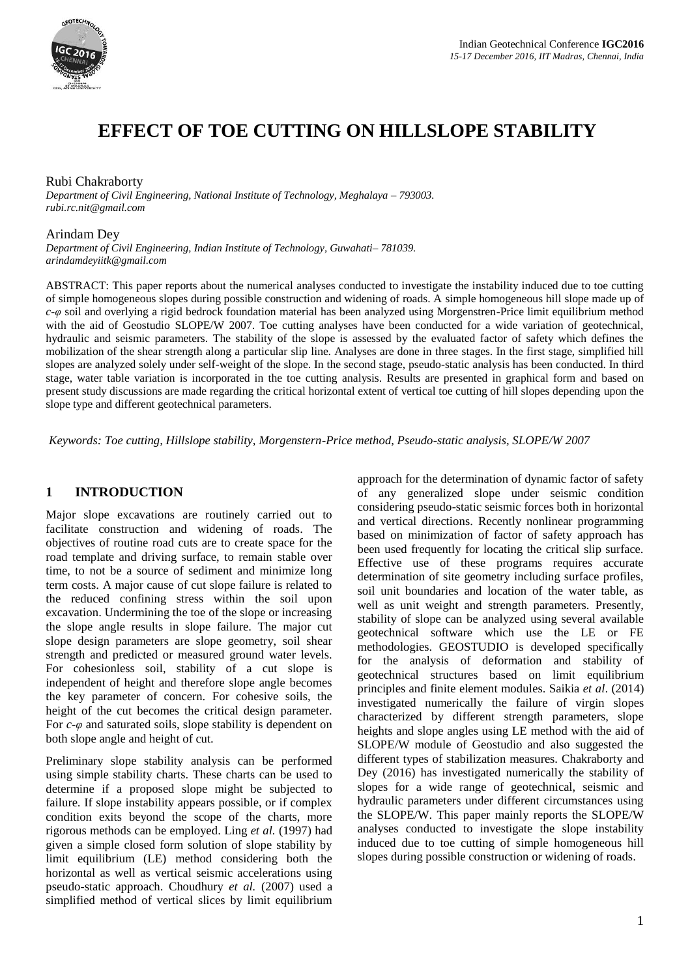

# **EFFECT OF TOE CUTTING ON HILLSLOPE STABILITY**

#### Rubi Chakraborty

*Department of Civil Engineering, National Institute of Technology, Meghalaya – 793003. rubi.rc.nit@gmail.com* 

#### Arindam Dey

*Department of Civil Engineering, Indian Institute of Technology, Guwahati– 781039. arindamdeyiitk@gmail.com* 

ABSTRACT: This paper reports about the numerical analyses conducted to investigate the instability induced due to toe cutting of simple homogeneous slopes during possible construction and widening of roads. A simple homogeneous hill slope made up of *c-φ* soil and overlying a rigid bedrock foundation material has been analyzed using Morgenstren-Price limit equilibrium method with the aid of Geostudio SLOPE/W 2007. Toe cutting analyses have been conducted for a wide variation of geotechnical, hydraulic and seismic parameters. The stability of the slope is assessed by the evaluated factor of safety which defines the mobilization of the shear strength along a particular slip line. Analyses are done in three stages. In the first stage, simplified hill slopes are analyzed solely under self-weight of the slope. In the second stage, pseudo-static analysis has been conducted. In third stage, water table variation is incorporated in the toe cutting analysis. Results are presented in graphical form and based on present study discussions are made regarding the critical horizontal extent of vertical toe cutting of hill slopes depending upon the slope type and different geotechnical parameters.

*Keywords: Toe cutting, Hillslope stability, Morgenstern-Price method, Pseudo-static analysis, SLOPE/W 2007*

### **1 INTRODUCTION**

Major slope excavations are routinely carried out to facilitate construction and widening of roads. The objectives of routine road cuts are to create space for the road template and driving surface, to remain stable over time, to not be a source of sediment and minimize long term costs. A major cause of cut slope failure is related to the reduced confining stress within the soil upon excavation. Undermining the toe of the slope or increasing the slope angle results in slope failure. The major cut slope design parameters are slope geometry, soil shear strength and predicted or measured ground water levels. For cohesionless soil, stability of a cut slope is independent of height and therefore slope angle becomes the key parameter of concern. For cohesive soils, the height of the cut becomes the critical design parameter. For *c-φ* and saturated soils, slope stability is dependent on both slope angle and height of cut.

Preliminary slope stability analysis can be performed using simple stability charts. These charts can be used to determine if a proposed slope might be subjected to failure. If slope instability appears possible, or if complex condition exits beyond the scope of the charts, more rigorous methods can be employed. Ling *et al.* (1997) had given a simple closed form solution of slope stability by limit equilibrium (LE) method considering both the horizontal as well as vertical seismic accelerations using pseudo-static approach. Choudhury *et al.* (2007) used a simplified method of vertical slices by limit equilibrium approach for the determination of dynamic factor of safety of any generalized slope under seismic condition considering pseudo-static seismic forces both in horizontal and vertical directions. Recently nonlinear programming based on minimization of factor of safety approach has been used frequently for locating the critical slip surface. Effective use of these programs requires accurate determination of site geometry including surface profiles, soil unit boundaries and location of the water table, as well as unit weight and strength parameters. Presently, stability of slope can be analyzed using several available geotechnical software which use the LE or FE methodologies. GEOSTUDIO is developed specifically for the analysis of deformation and stability of geotechnical structures based on limit equilibrium principles and finite element modules. Saikia *et al*. (2014) investigated numerically the failure of virgin slopes characterized by different strength parameters, slope heights and slope angles using LE method with the aid of SLOPE/W module of Geostudio and also suggested the different types of stabilization measures. Chakraborty and Dey (2016) has investigated numerically the stability of slopes for a wide range of geotechnical, seismic and hydraulic parameters under different circumstances using the SLOPE/W. This paper mainly reports the SLOPE/W analyses conducted to investigate the slope instability induced due to toe cutting of simple homogeneous hill slopes during possible construction or widening of roads.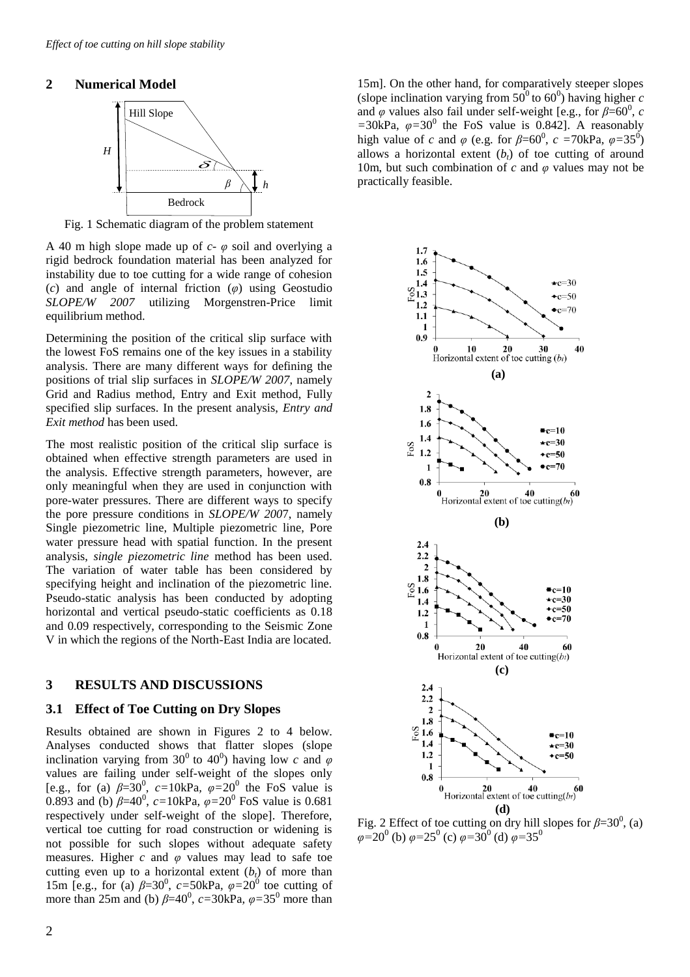#### **2 Numerical Model**



Fig. 1 Schematic diagram of the problem statement

A 40 m high slope made up of *c*- *φ* soil and overlying a rigid bedrock foundation material has been analyzed for instability due to toe cutting for a wide range of cohesion (*c*) and angle of internal friction (*φ*) using Geostudio *SLOPE/W 2007* utilizing Morgenstren-Price limit equilibrium method.

Determining the position of the critical slip surface with the lowest FoS remains one of the key issues in a stability analysis. There are many different ways for defining the positions of trial slip surfaces in *SLOPE/W 2007*, namely Grid and Radius method, Entry and Exit method, Fully specified slip surfaces. In the present analysis, *Entry and Exit method* has been used.

The most realistic position of the critical slip surface is obtained when effective strength parameters are used in the analysis. Effective strength parameters, however, are only meaningful when they are used in conjunction with pore-water pressures. There are different ways to specify the pore pressure conditions in *SLOPE/W 200*7, namely Single piezometric line, Multiple piezometric line, Pore water pressure head with spatial function. In the present analysis, *single piezometric line* method has been used. The variation of water table has been considered by specifying height and inclination of the piezometric line. Pseudo-static analysis has been conducted by adopting horizontal and vertical pseudo-static coefficients as 0.18 and 0.09 respectively, corresponding to the Seismic Zone V in which the regions of the North-East India are located.

#### **3 RESULTS AND DISCUSSIONS**

# **3.1 Effect of Toe Cutting on Dry Slopes**

Results obtained are shown in Figures 2 to 4 below. Analyses conducted shows that flatter slopes (slope inclination varying from 30<sup>0</sup> to 40<sup>0</sup>) having low *c* and  $\varphi$ values are failing under self-weight of the slopes only [e.g., for (a)  $\beta = 30^0$ ,  $c=10kPa$ ,  $\varphi = 20^0$  the FoS value is 0.893 and (b)  $\beta = 40^0$ ,  $c = 10kPa$ ,  $\phi = 20^0$  FoS value is 0.681 respectively under self-weight of the slope]. Therefore, vertical toe cutting for road construction or widening is not possible for such slopes without adequate safety measures. Higher *c* and *φ* values may lead to safe toe cutting even up to a horizontal extent  $(b_t)$  of more than 15m [e.g., for (a)  $\beta = 30^0$ ,  $c = 50 \text{ kPa}$ ,  $\varphi = 20^0$  toe cutting of more than 25m and (b)  $\beta = 40^{\circ}$ ,  $c = 30 \text{kPa}$ ,  $\varphi = 35^{\circ}$  more than

15m]. On the other hand, for comparatively steeper slopes (slope inclination varying from  $50^{\circ}$  to  $60^{\circ}$ ) having higher *c* and  $\varphi$  values also fail under self-weight [e.g., for  $\beta = 60^{\circ}$ , *c*  $=30kPa$ ,  $\varphi=30^0$  the FoS value is 0.842]. A reasonably high value of *c* and  $\varphi$  (e.g. for  $\beta = 60^\circ$ , *c* = 70kPa,  $\varphi = 35^\circ$ ) allows a horizontal extent  $(b_t)$  of toe cutting of around 10m, but such combination of *c* and *φ* values may not be practically feasible.



Fig. 2 Effect of toe cutting on dry hill slopes for  $\beta = 30^0$ , (a)  $\varphi = 20^0$  (b)  $\varphi = 25^0$  (c)  $\varphi = 30^0$  (d)  $\varphi = 35^0$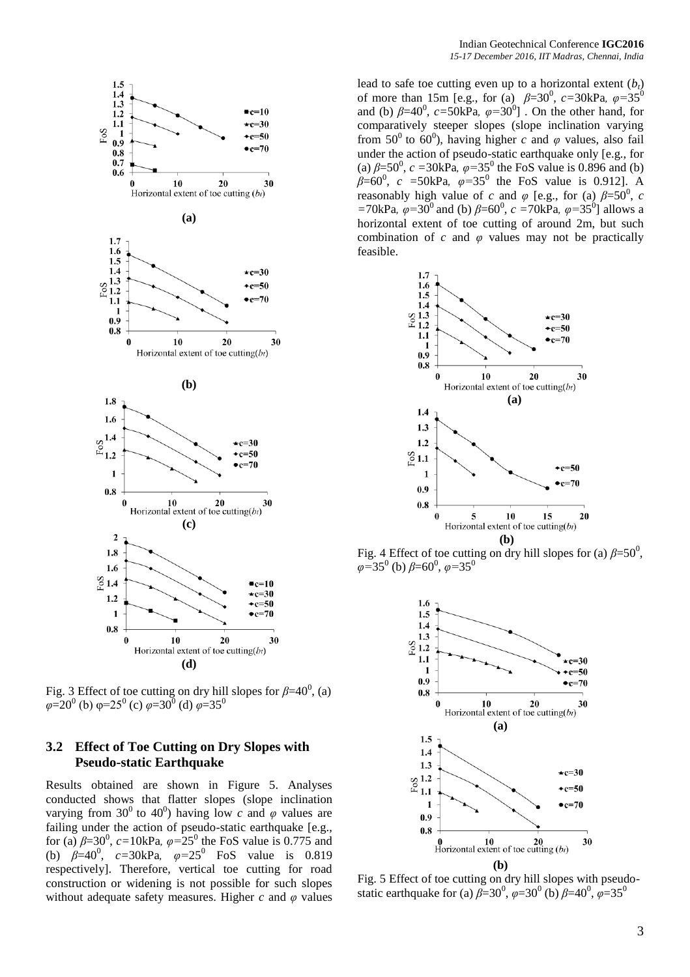

Fig. 3 Effect of toe cutting on dry hill slopes for  $\beta = 40^0$ , (a)  $\varphi = 20^{\circ}$  (b)  $\varphi = 25^{\circ}$  (c)  $\varphi = 30^{\circ}$  (d)  $\varphi = 35^{\circ}$ 

# **3.2 Effect of Toe Cutting on Dry Slopes with Pseudo-static Earthquake**

Results obtained are shown in Figure 5. Analyses conducted shows that flatter slopes (slope inclination varying from  $30^0$  to  $40^0$ ) having low *c* and  $\varphi$  values are failing under the action of pseudo-static earthquake [e.g., for (a)  $\beta = 30^0$ ,  $c = 10 \text{kPa}$ ,  $\varphi = 25^0$  the FoS value is 0.775 and (b)  $\beta = 40^0$ ,  $c = 30kPa$ ,  $\varphi = 25^0$  FoS value is 0.819 respectively]. Therefore, vertical toe cutting for road construction or widening is not possible for such slopes without adequate safety measures. Higher *c* and *φ* values

lead to safe toe cutting even up to a horizontal extent (*b<sup>t</sup>* ) of more than 15m [e.g., for (a)  $\beta = 30^0$ ,  $c = 30kPa$ ,  $\varphi = 35^0$ and (b)  $\beta = 40^0$ ,  $c = 50kPa$ ,  $\varphi = 30^0$ ]. On the other hand, for comparatively steeper slopes (slope inclination varying from 50<sup>0</sup> to 60<sup>0</sup>), having higher *c* and  $\varphi$  values, also fail under the action of pseudo-static earthquake only [e.g., for (a)  $\beta = 50^{\circ}$ ,  $c = 30 \text{kPa}$ ,  $\varphi = 35^{\circ}$  the FoS value is 0.896 and (b)  $\beta = 60^{\circ}$ , *c* = 50kPa,  $\varphi = 35^{\circ}$  the FoS value is 0.912]. A reasonably high value of *c* and  $\varphi$  [e.g., for (a)  $\beta = 50^{\circ}$ , *c*  $=70kPa$ ,  $\varphi=30^{\circ}$  and (b)  $\beta=60^{\circ}$ ,  $c=70kPa$ ,  $\varphi=35^{\circ}$ ] allows a horizontal extent of toe cutting of around 2m, but such combination of *c* and *φ* values may not be practically feasible.



Fig. 4 Effect of toe cutting on dry hill slopes for (a)  $\beta = 50^0$ ,  $\varphi$ =35<sup>0</sup> (b)  $\beta$ =60<sup>0</sup>,  $\varphi$ =35<sup>0</sup>



Fig. 5 Effect of toe cutting on dry hill slopes with pseudostatic earthquake for (a)  $\beta = 30^0$ ,  $\varphi = 30^0$  (b)  $\beta = 40^0$ ,  $\varphi = 35^0$